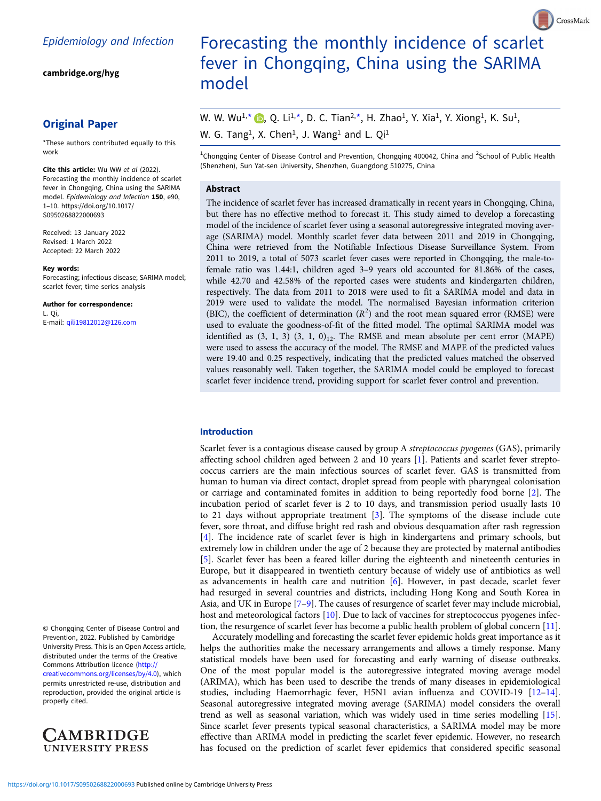[cambridge.org/hyg](https://www.cambridge.org/hyg)

# Original Paper

\*These authors contributed equally to this work

Cite this article: Wu WW et al (2022). Forecasting the monthly incidence of scarlet fever in Chongqing, China using the SARIMA model. Epidemiology and Infection 150, e90, 1–10. [https://doi.org/10.1017/](https://doi.org/10.1017/S0950268822000693) [S0950268822000693](https://doi.org/10.1017/S0950268822000693)

Received: 13 January 2022 Revised: 1 March 2022 Accepted: 22 March 2022

#### Key words:

Forecasting; infectious disease; SARIMA model; scarlet fever; time series analysis

Author for correspondence: L. Qi, E-mail: [qili19812012@126.com](mailto:qili19812012@126.com)

© Chongqing Center of Disease Control and Prevention, 2022. Published by Cambridge University Press. This is an Open Access article, distributed under the terms of the Creative Commons Attribution licence ([http://](http://creativecommons.org/licenses/by/4.0) [creativecommons.org/licenses/by/4.0\)](http://creativecommons.org/licenses/by/4.0), which permits unrestricted re-use, distribution and reproduction, provided the original article is properly cited.



# Forecasting the monthly incidence of scarlet fever in Chongqing, China using the SARIMA model

CrossMark

# W. W. Wu<sup>1[,](https://orcid.org/0000-0002-7853-784X)\*</sup>  $\bullet$ , Q. Li<sup>1,\*</sup>, D. C. Tian<sup>2,\*</sup>, H. Zhao<sup>1</sup>, Y. Xia<sup>1</sup>, Y. Xiong<sup>1</sup>, K. Su<sup>1</sup>, W. G. Tang<sup>1</sup>, X. Chen<sup>1</sup>, J. Wang<sup>1</sup> and L. Qi<sup>1</sup>

<sup>1</sup>Chongqing Center of Disease Control and Prevention, Chongqing 400042, China and <sup>2</sup>School of Public Health (Shenzhen), Sun Yat-sen University, Shenzhen, Guangdong 510275, China

#### Abstract

The incidence of scarlet fever has increased dramatically in recent years in Chongqing, China, but there has no effective method to forecast it. This study aimed to develop a forecasting model of the incidence of scarlet fever using a seasonal autoregressive integrated moving average (SARIMA) model. Monthly scarlet fever data between 2011 and 2019 in Chongqing, China were retrieved from the Notifiable Infectious Disease Surveillance System. From 2011 to 2019, a total of 5073 scarlet fever cases were reported in Chongqing, the male-tofemale ratio was 1.44:1, children aged 3–9 years old accounted for 81.86% of the cases, while 42.70 and 42.58% of the reported cases were students and kindergarten children, respectively. The data from 2011 to 2018 were used to fit a SARIMA model and data in 2019 were used to validate the model. The normalised Bayesian information criterion (BIC), the coefficient of determination  $(R^2)$  and the root mean squared error (RMSE) were used to evaluate the goodness-of-fit of the fitted model. The optimal SARIMA model was identified as  $(3, 1, 3)$   $(3, 1, 0)_{12}$ . The RMSE and mean absolute per cent error (MAPE) were used to assess the accuracy of the model. The RMSE and MAPE of the predicted values were 19.40 and 0.25 respectively, indicating that the predicted values matched the observed values reasonably well. Taken together, the SARIMA model could be employed to forecast scarlet fever incidence trend, providing support for scarlet fever control and prevention.

#### Introduction

Scarlet fever is a contagious disease caused by group A streptococcus pyogenes (GAS), primarily affecting school children aged between 2 and 10 years [[1](#page-9-0)]. Patients and scarlet fever streptococcus carriers are the main infectious sources of scarlet fever. GAS is transmitted from human to human via direct contact, droplet spread from people with pharyngeal colonisation or carriage and contaminated fomites in addition to being reportedly food borne [[2](#page-9-0)]. The incubation period of scarlet fever is 2 to 10 days, and transmission period usually lasts 10 to 21 days without appropriate treatment [[3](#page-9-0)]. The symptoms of the disease include cute fever, sore throat, and diffuse bright red rash and obvious desquamation after rash regression [[4](#page-9-0)]. The incidence rate of scarlet fever is high in kindergartens and primary schools, but extremely low in children under the age of 2 because they are protected by maternal antibodies [[5](#page-9-0)]. Scarlet fever has been a feared killer during the eighteenth and nineteenth centuries in Europe, but it disappeared in twentieth century because of widely use of antibiotics as well as advancements in health care and nutrition [[6](#page-9-0)]. However, in past decade, scarlet fever had resurged in several countries and districts, including Hong Kong and South Korea in Asia, and UK in Europe [\[7](#page-9-0)–[9](#page-9-0)]. The causes of resurgence of scarlet fever may include microbial, host and meteorological factors [\[10](#page-9-0)]. Due to lack of vaccines for streptococcus pyogenes infection, the resurgence of scarlet fever has become a public health problem of global concern [\[11](#page-9-0)].

Accurately modelling and forecasting the scarlet fever epidemic holds great importance as it helps the authorities make the necessary arrangements and allows a timely response. Many statistical models have been used for forecasting and early warning of disease outbreaks. One of the most popular model is the autoregressive integrated moving average model (ARIMA), which has been used to describe the trends of many diseases in epidemiological studies, including Haemorrhagic fever, H5N1 avian influenza and COVID-19 [\[12](#page-9-0)–[14](#page-9-0)]. Seasonal autoregressive integrated moving average (SARIMA) model considers the overall trend as well as seasonal variation, which was widely used in time series modelling [\[15](#page-9-0)]. Since scarlet fever presents typical seasonal characteristics, a SARIMA model may be more effective than ARIMA model in predicting the scarlet fever epidemic. However, no research has focused on the prediction of scarlet fever epidemics that considered specific seasonal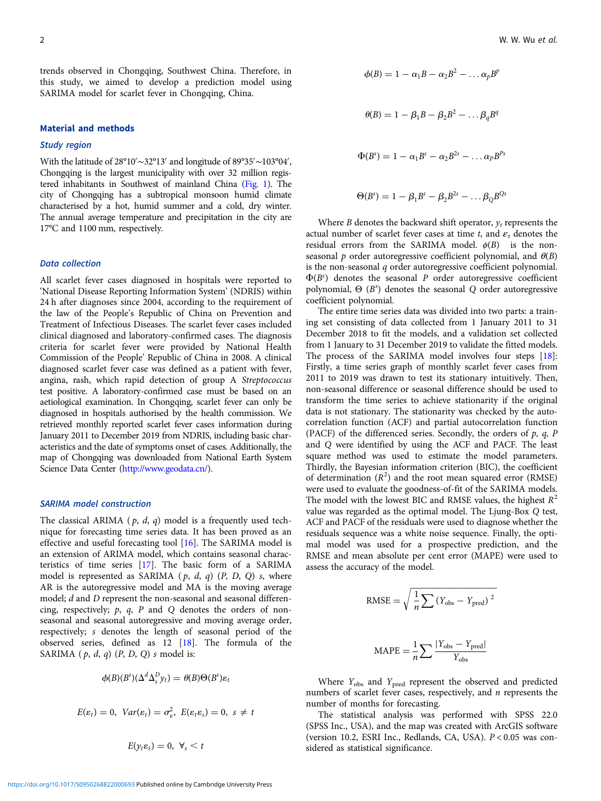trends observed in Chongqing, Southwest China. Therefore, in this study, we aimed to develop a prediction model using SARIMA model for scarlet fever in Chongqing, China.

#### Material and methods

#### Study region

With the latitude of 28°10′ ∼32°13′ and longitude of 89°35′ ∼103°04′ , Chongqing is the largest municipality with over 32 million registered inhabitants in Southwest of mainland China ([Fig. 1\)](#page-2-0). The city of Chongqing has a subtropical monsoon humid climate characterised by a hot, humid summer and a cold, dry winter. The annual average temperature and precipitation in the city are 17°C and 1100 mm, respectively.

## Data collection

All scarlet fever cases diagnosed in hospitals were reported to 'National Disease Reporting Information System' (NDRIS) within 24 h after diagnoses since 2004, according to the requirement of the law of the People's Republic of China on Prevention and Treatment of Infectious Diseases. The scarlet fever cases included clinical diagnosed and laboratory-confirmed cases. The diagnosis criteria for scarlet fever were provided by National Health Commission of the People' Republic of China in 2008. A clinical diagnosed scarlet fever case was defined as a patient with fever, angina, rash, which rapid detection of group A Streptococcus test positive. A laboratory-confirmed case must be based on an aetiological examination. In Chongqing, scarlet fever can only be diagnosed in hospitals authorised by the health commission. We retrieved monthly reported scarlet fever cases information during January 2011 to December 2019 from NDRIS, including basic characteristics and the date of symptoms onset of cases. Additionally, the map of Chongqing was downloaded from National Earth System Science Data Center [\(http://www.geodata.cn/\)](http://www.geodata.cn/).

# SARIMA model construction

The classical ARIMA ( $p$ ,  $d$ ,  $q$ ) model is a frequently used technique for forecasting time series data. It has been proved as an effective and useful forecasting tool [\[16](#page-9-0)]. The SARIMA model is an extension of ARIMA model, which contains seasonal characteristics of time series [[17\]](#page-9-0). The basic form of a SARIMA model is represented as SARIMA  $(p, d, q)$   $(P, D, Q)$  s, where AR is the autoregressive model and MA is the moving average model; d and D represent the non-seasonal and seasonal differencing, respectively;  $p$ ,  $q$ ,  $P$  and  $Q$  denotes the orders of nonseasonal and seasonal autoregressive and moving average order, respectively; s denotes the length of seasonal period of the observed series, defined as 12 [[18](#page-9-0)]. The formula of the SARIMA  $(p, d, q)$   $(P, D, Q)$  s model is:

$$
\phi(B)(B^{s})(\Delta^{d}\Delta_{s}^{D}y_{t})=\theta(B)\Theta(B^{s})\varepsilon_{t}
$$

$$
E(\varepsilon_t)=0, \ Var(\varepsilon_t)=\sigma_{\varepsilon}^2, \ E(\varepsilon_t\varepsilon_s)=0, \ s\neq t
$$

$$
E(y_t \varepsilon_t) = 0, \ \forall_s < t
$$

$$
\phi(B) = 1 - \alpha_1 B - \alpha_2 B^2 - \dots \alpha_p B^p
$$

$$
\theta(B) = 1 - \beta_1 B - \beta_2 B^2 - \dots \beta_q B^q
$$

$$
\Phi(B^s) = 1 - \alpha_1 B^s - \alpha_2 B^{2s} - \dots \alpha_p B^{p_s}
$$

$$
\Theta(B^s) = 1 - \beta_1 B^s - \beta_2 B^{2s} - \dots \beta_Q B^{Qs}
$$

Where B denotes the backward shift operator,  $y_t$  represents the actual number of scarlet fever cases at time t, and  $\varepsilon_t$  denotes the residual errors from the SARIMA model.  $\phi(B)$  is the nonseasonal p order autoregressive coefficient polynomial, and  $\theta(B)$ is the non-seasonal q order autoregressive coefficient polynomial.  $\Phi(B^s)$  denotes the seasonal P order autoregressive coefficient polynomial,  $\Theta$  ( $B^s$ ) denotes the seasonal Q order autoregressive coefficient polynomial.

The entire time series data was divided into two parts: a training set consisting of data collected from 1 January 2011 to 31 December 2018 to fit the models, and a validation set collected from 1 January to 31 December 2019 to validate the fitted models. The process of the SARIMA model involves four steps [\[18](#page-9-0)]: Firstly, a time series graph of monthly scarlet fever cases from 2011 to 2019 was drawn to test its stationary intuitively. Then, non-seasonal difference or seasonal difference should be used to transform the time series to achieve stationarity if the original data is not stationary. The stationarity was checked by the autocorrelation function (ACF) and partial autocorrelation function (PACF) of the differenced series. Secondly, the orders of  $p$ ,  $q$ ,  $P$ and Q were identified by using the ACF and PACF. The least square method was used to estimate the model parameters. Thirdly, the Bayesian information criterion (BIC), the coefficient of determination  $(R^2)$  and the root mean squared error (RMSE) were used to evaluate the goodness-of-fit of the SARIMA models. The model with the lowest BIC and RMSE values, the highest  $R^2$ value was regarded as the optimal model. The Ljung-Box Q test, ACF and PACF of the residuals were used to diagnose whether the residuals sequence was a white noise sequence. Finally, the optimal model was used for a prospective prediction, and the RMSE and mean absolute per cent error (MAPE) were used to assess the accuracy of the model.

RMSE = 
$$
\sqrt{\frac{1}{n} \sum (Y_{obs} - Y_{pred})^2}
$$
  
MAPE =  $\frac{1}{n} \sum \frac{|Y_{obs} - Y_{pred}|}{Y_{obs}}$ 

Where  $Y_{\text{obs}}$  and  $Y_{\text{pred}}$  represent the observed and predicted numbers of scarlet fever cases, respectively, and  $n$  represents the number of months for forecasting.

The statistical analysis was performed with SPSS 22.0 (SPSS Inc., USA), and the map was created with ArcGIS software (version 10.2, ESRI Inc., Redlands, CA, USA). P < 0.05 was considered as statistical significance.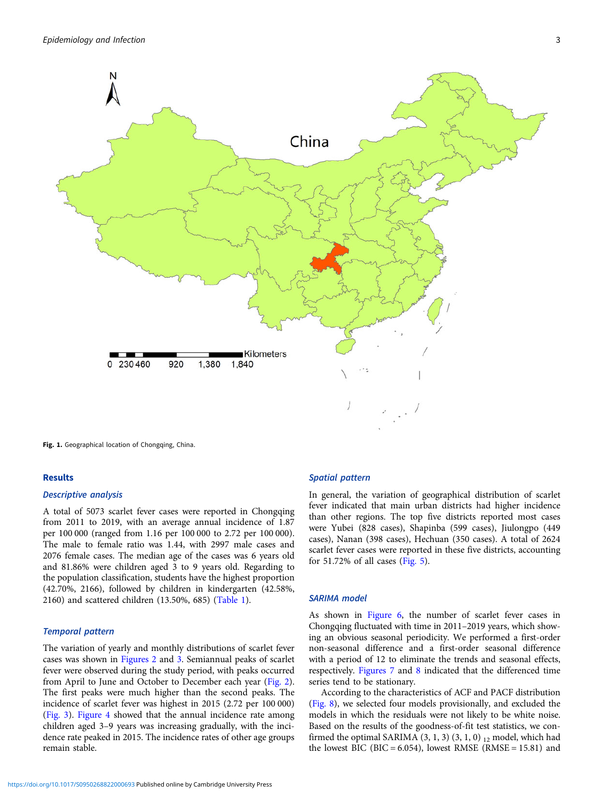<span id="page-2-0"></span>

Fig. 1. Geographical location of Chongqing, China.

# Results

## Descriptive analysis

A total of 5073 scarlet fever cases were reported in Chongqing from 2011 to 2019, with an average annual incidence of 1.87 per 100 000 (ranged from 1.16 per 100 000 to 2.72 per 100 000). The male to female ratio was 1.44, with 2997 male cases and 2076 female cases. The median age of the cases was 6 years old and 81.86% were children aged 3 to 9 years old. Regarding to the population classification, students have the highest proportion (42.70%, 2166), followed by children in kindergarten (42.58%, 2160) and scattered children (13.50%, 685) ([Table 1](#page-3-0)).

#### Temporal pattern

The variation of yearly and monthly distributions of scarlet fever cases was shown in [Figures 2](#page-3-0) and [3.](#page-4-0) Semiannual peaks of scarlet fever were observed during the study period, with peaks occurred from April to June and October to December each year ([Fig. 2\)](#page-3-0). The first peaks were much higher than the second peaks. The incidence of scarlet fever was highest in 2015 (2.72 per 100 000) ([Fig. 3\)](#page-4-0). [Figure 4](#page-4-0) showed that the annual incidence rate among children aged 3–9 years was increasing gradually, with the incidence rate peaked in 2015. The incidence rates of other age groups remain stable.

# Spatial pattern

In general, the variation of geographical distribution of scarlet fever indicated that main urban districts had higher incidence than other regions. The top five districts reported most cases were Yubei (828 cases), Shapinba (599 cases), Jiulongpo (449 cases), Nanan (398 cases), Hechuan (350 cases). A total of 2624 scarlet fever cases were reported in these five districts, accounting for 51.72% of all cases [\(Fig. 5\)](#page-5-0).

## SARIMA model

As shown in [Figure 6](#page-5-0), the number of scarlet fever cases in Chongqing fluctuated with time in 2011–2019 years, which showing an obvious seasonal periodicity. We performed a first-order non-seasonal difference and a first-order seasonal difference with a period of 12 to eliminate the trends and seasonal effects, respectively. [Figures 7](#page-6-0) and [8](#page-6-0) indicated that the differenced time series tend to be stationary.

According to the characteristics of ACF and PACF distribution [\(Fig. 8](#page-6-0)), we selected four models provisionally, and excluded the models in which the residuals were not likely to be white noise. Based on the results of the goodness-of-fit test statistics, we confirmed the optimal SARIMA  $(3, 1, 3)$   $(3, 1, 0)$   $_{12}$  model, which had the lowest BIC (BIC =  $6.054$ ), lowest RMSE (RMSE = 15.81) and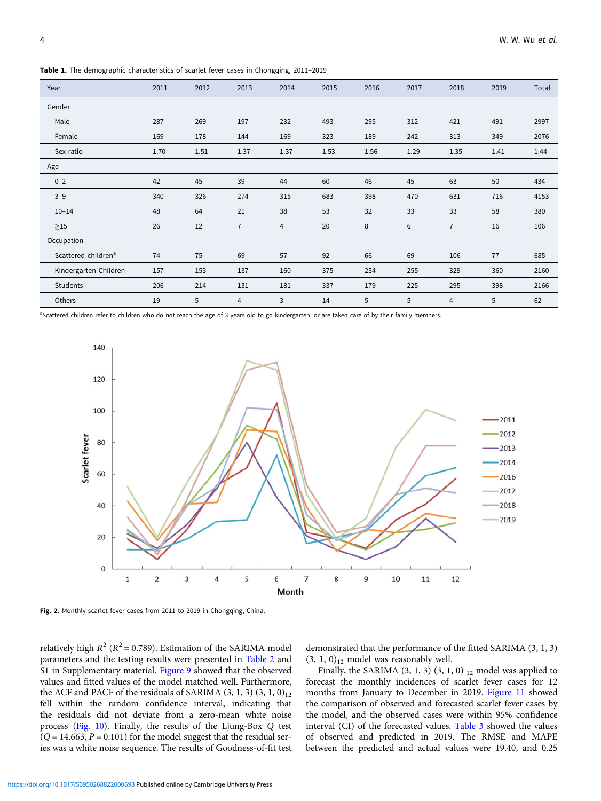<span id="page-3-0"></span>Table 1. The demographic characteristics of scarlet fever cases in Chongqing, 2011–2019

| Year                            | 2011 | 2012 | 2013           | 2014 | 2015 | 2016 | 2017 | 2018           | 2019 | Total |
|---------------------------------|------|------|----------------|------|------|------|------|----------------|------|-------|
| Gender                          |      |      |                |      |      |      |      |                |      |       |
| Male                            | 287  | 269  | 197            | 232  | 493  | 295  | 312  | 421            | 491  | 2997  |
| Female                          | 169  | 178  | 144            | 169  | 323  | 189  | 242  | 313            | 349  | 2076  |
| Sex ratio                       | 1.70 | 1.51 | 1.37           | 1.37 | 1.53 | 1.56 | 1.29 | 1.35           | 1.41 | 1.44  |
| Age                             |      |      |                |      |      |      |      |                |      |       |
| $0 - 2$                         | 42   | 45   | 39             | 44   | 60   | 46   | 45   | 63             | 50   | 434   |
| $3 - 9$                         | 340  | 326  | 274            | 315  | 683  | 398  | 470  | 631            | 716  | 4153  |
| $10 - 14$                       | 48   | 64   | 21             | 38   | 53   | 32   | 33   | 33             | 58   | 380   |
| $\geq$ 15                       | 26   | 12   | $\overline{7}$ | 4    | 20   | 8    | 6    | $\overline{7}$ | 16   | 106   |
| Occupation                      |      |      |                |      |      |      |      |                |      |       |
| Scattered children <sup>a</sup> | 74   | 75   | 69             | 57   | 92   | 66   | 69   | 106            | 77   | 685   |
| Kindergarten Children           | 157  | 153  | 137            | 160  | 375  | 234  | 255  | 329            | 360  | 2160  |
| Students                        | 206  | 214  | 131            | 181  | 337  | 179  | 225  | 295            | 398  | 2166  |
| Others                          | 19   | 5    | 4              | 3    | 14   | 5    | 5    | $\overline{4}$ | 5    | 62    |

<sup>a</sup>Scattered children refer to children who do not reach the age of 3 years old to go kindergarten, or are taken care of by their family members.



Fig. 2. Monthly scarlet fever cases from 2011 to 2019 in Chongqing, China.

relatively high  $R^2$  ( $R^2$  = 0.789). Estimation of the SARIMA model parameters and the testing results were presented in [Table 2](#page-6-0) and S1 in Supplementary material. [Figure 9](#page-7-0) showed that the observed values and fitted values of the model matched well. Furthermore, the ACF and PACF of the residuals of SARIMA  $(3, 1, 3)$   $(3, 1, 0)_{12}$ fell within the random confidence interval, indicating that the residuals did not deviate from a zero-mean white noise process [\(Fig. 10](#page-7-0)). Finally, the results of the Ljung-Box Q test  $(Q = 14.663, P = 0.101)$  for the model suggest that the residual series was a white noise sequence. The results of Goodness-of-fit test

demonstrated that the performance of the fitted SARIMA (3, 1, 3)  $(3, 1, 0)_{12}$  model was reasonably well.

Finally, the SARIMA  $(3, 1, 3)$   $(3, 1, 0)$   $_{12}$  model was applied to forecast the monthly incidences of scarlet fever cases for 12 months from January to December in 2019. [Figure 11](#page-8-0) showed the comparison of observed and forecasted scarlet fever cases by the model, and the observed cases were within 95% confidence interval (CI) of the forecasted values. [Table 3](#page-8-0) showed the values of observed and predicted in 2019. The RMSE and MAPE between the predicted and actual values were 19.40, and 0.25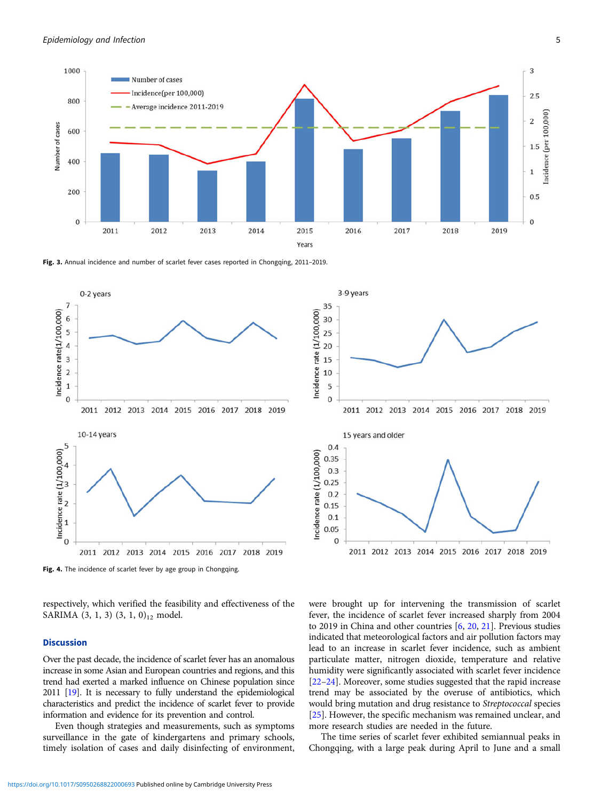<span id="page-4-0"></span>

3-9 years

15 years and older

35

30

25

20

15

10

5

 $\theta$ 

 $0.4$ 

0.35  $0.3$  $0.25$  $0.2$  $0.15$  $0.1$  $0.05$ 

 $\mathbf{0}$ 

Incidence rate (1/100,000)

Incidence rate (1/100,000)

Fig. 3. Annual incidence and number of scarlet fever cases reported in Chongqing, 2011-2019.



Fig. 4. The incidence of scarlet fever by age group in Chongqing.

respectively, which verified the feasibility and effectiveness of the SARIMA  $(3, 1, 3)$   $(3, 1, 0)_{12}$  model.

## **Discussion**

Over the past decade, the incidence of scarlet fever has an anomalous increase in some Asian and European countries and regions, and this trend had exerted a marked influence on Chinese population since 2011 [\[19\]](#page-9-0). It is necessary to fully understand the epidemiological characteristics and predict the incidence of scarlet fever to provide information and evidence for its prevention and control.

Even though strategies and measurements, such as symptoms surveillance in the gate of kindergartens and primary schools, timely isolation of cases and daily disinfecting of environment, were brought up for intervening the transmission of scarlet fever, the incidence of scarlet fever increased sharply from 2004 to 2019 in China and other countries [\[6,](#page-9-0) [20](#page-9-0), [21](#page-9-0)]. Previous studies indicated that meteorological factors and air pollution factors may lead to an increase in scarlet fever incidence, such as ambient particulate matter, nitrogen dioxide, temperature and relative humidity were significantly associated with scarlet fever incidence [\[22](#page-9-0)–[24\]](#page-9-0). Moreover, some studies suggested that the rapid increase trend may be associated by the overuse of antibiotics, which would bring mutation and drug resistance to Streptococcal species [\[25\]](#page-9-0). However, the specific mechanism was remained unclear, and more research studies are needed in the future.

2011 2012 2013 2014 2015 2016 2017 2018 2019

2011 2012 2013 2014 2015 2016 2017 2018 2019

The time series of scarlet fever exhibited semiannual peaks in Chongqing, with a large peak during April to June and a small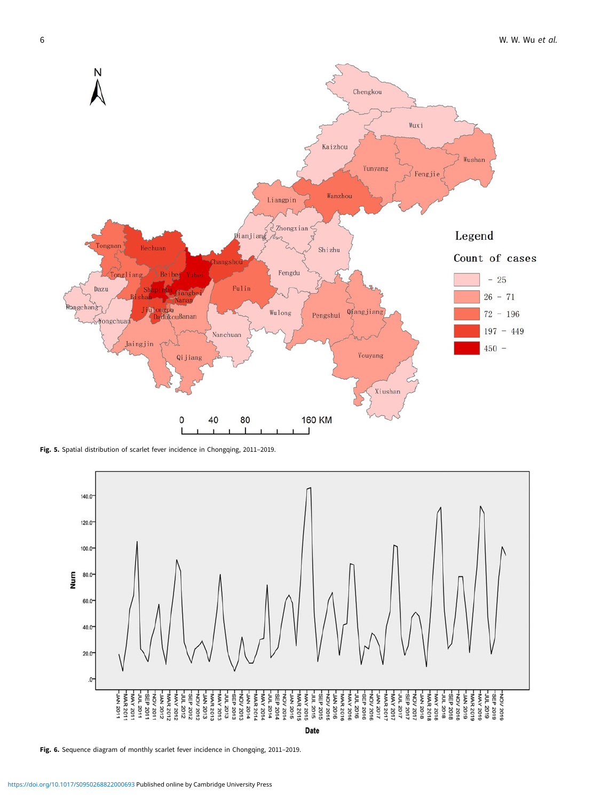<span id="page-5-0"></span>

Fig. 5. Spatial distribution of scarlet fever incidence in Chongqing, 2011-2019.



Fig. 6. Sequence diagram of monthly scarlet fever incidence in Chongqing, 2011-2019.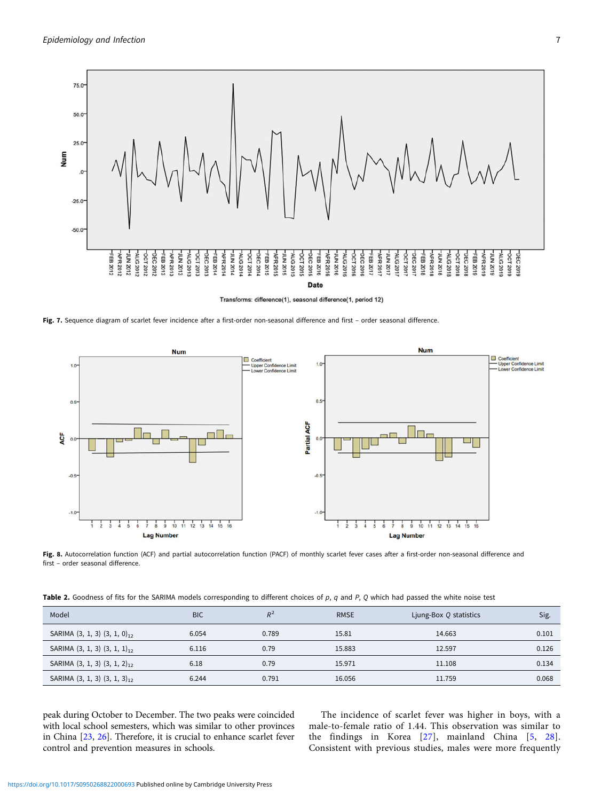<span id="page-6-0"></span>

Transforms: difference(1), seasonal difference(1, period 12)

Fig. 7. Sequence diagram of scarlet fever incidence after a first-order non-seasonal difference and first - order seasonal difference.



Fig. 8. Autocorrelation function (ACF) and partial autocorrelation function (PACF) of monthly scarlet fever cases after a first-order non-seasonal difference and first – order seasonal difference.

Table 2. Goodness of fits for the SARIMA models corresponding to different choices of  $p$ ,  $q$  and  $P$ ,  $Q$  which had passed the white noise test

| Model                               | <b>BIC</b> |       | <b>RMSE</b> | Ljung-Box Q statistics | Sig.  |
|-------------------------------------|------------|-------|-------------|------------------------|-------|
| SARIMA $(3, 1, 3)$ $(3, 1, 0)_{12}$ | 6.054      | 0.789 | 15.81       | 14.663                 | 0.101 |
| SARIMA $(3, 1, 3)$ $(3, 1, 1)_{12}$ | 6.116      | 0.79  | 15.883      | 12.597                 | 0.126 |
| SARIMA $(3, 1, 3)$ $(3, 1, 2)_{12}$ | 6.18       | 0.79  | 15.971      | 11.108                 | 0.134 |
| SARIMA $(3, 1, 3)$ $(3, 1, 3)_{12}$ | 6.244      | 0.791 | 16.056      | 11.759                 | 0.068 |

peak during October to December. The two peaks were coincided with local school semesters, which was similar to other provinces in China [\[23,](#page-9-0) [26\]](#page-9-0). Therefore, it is crucial to enhance scarlet fever control and prevention measures in schools.

The incidence of scarlet fever was higher in boys, with a male-to-female ratio of 1.44. This observation was similar to the findings in Korea [\[27\]](#page-9-0), mainland China [[5,](#page-9-0) [28](#page-9-0)]. Consistent with previous studies, males were more frequently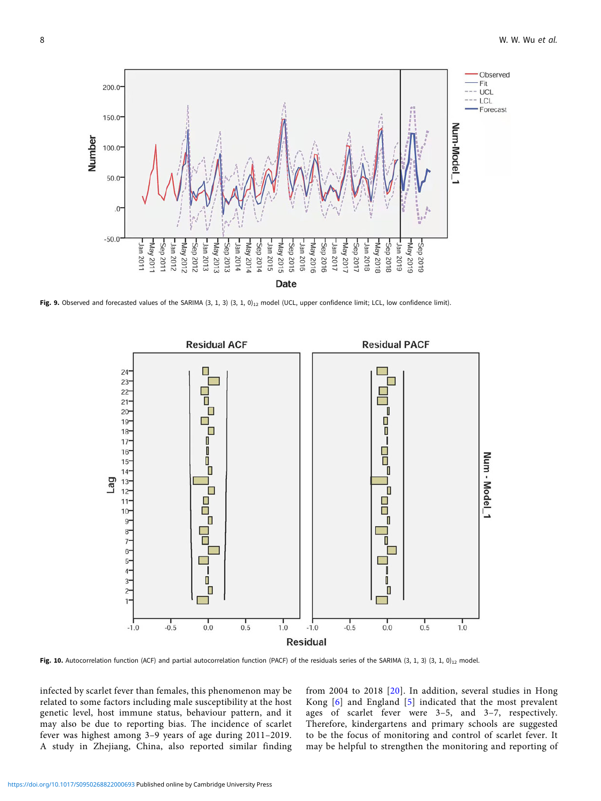<span id="page-7-0"></span>

Fig. 9. Observed and forecasted values of the SARIMA  $(3, 1, 3)$   $(3, 1, 0)_{12}$  model (UCL, upper confidence limit; LCL, low confidence limit).



Fig. 10. Autocorrelation function (ACF) and partial autocorrelation function (PACF) of the residuals series of the SARIMA (3, 1, 3) (3, 1, 0)<sub>12</sub> model.

infected by scarlet fever than females, this phenomenon may be related to some factors including male susceptibility at the host genetic level, host immune status, behaviour pattern, and it may also be due to reporting bias. The incidence of scarlet fever was highest among 3–9 years of age during 2011–2019. A study in Zhejiang, China, also reported similar finding

from 2004 to 2018 [[20](#page-9-0)]. In addition, several studies in Hong Kong [\[6\]](#page-9-0) and England [[5](#page-9-0)] indicated that the most prevalent ages of scarlet fever were 3–5, and 3–7, respectively. Therefore, kindergartens and primary schools are suggested to be the focus of monitoring and control of scarlet fever. It may be helpful to strengthen the monitoring and reporting of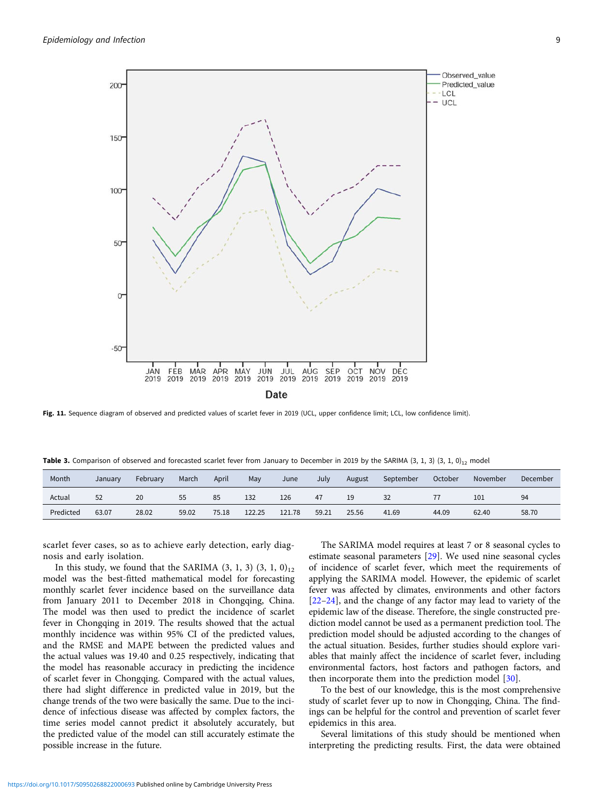<span id="page-8-0"></span>

Fig. 11. Sequence diagram of observed and predicted values of scarlet fever in 2019 (UCL, upper confidence limit; LCL, low confidence limit).

Table 3. Comparison of observed and forecasted scarlet fever from January to December in 2019 by the SARIMA  $(3, 1, 3)$   $(3, 1, 0)_{12}$  model

| Month     | January | February | March | April | May    | June   | July  | August | September | October | November | December |
|-----------|---------|----------|-------|-------|--------|--------|-------|--------|-----------|---------|----------|----------|
| Actual    | 52      | 20       | 55    | 85    | 132    | 126    | 47    | 19     | 32        |         | 101      | 94       |
| Predicted | 63.07   | 28.02    | 59.02 | 75.18 | 122.25 | 121.78 | 59.21 | 25.56  | 41.69     | 44.09   | 62.40    | 58.70    |

scarlet fever cases, so as to achieve early detection, early diagnosis and early isolation.

In this study, we found that the SARIMA  $(3, 1, 3)$   $(3, 1, 0)_{12}$ model was the best-fitted mathematical model for forecasting monthly scarlet fever incidence based on the surveillance data from January 2011 to December 2018 in Chongqing, China. The model was then used to predict the incidence of scarlet fever in Chongqing in 2019. The results showed that the actual monthly incidence was within 95% CI of the predicted values, and the RMSE and MAPE between the predicted values and the actual values was 19.40 and 0.25 respectively, indicating that the model has reasonable accuracy in predicting the incidence of scarlet fever in Chongqing. Compared with the actual values, there had slight difference in predicted value in 2019, but the change trends of the two were basically the same. Due to the incidence of infectious disease was affected by complex factors, the time series model cannot predict it absolutely accurately, but the predicted value of the model can still accurately estimate the possible increase in the future.

The SARIMA model requires at least 7 or 8 seasonal cycles to estimate seasonal parameters [[29](#page-9-0)]. We used nine seasonal cycles of incidence of scarlet fever, which meet the requirements of applying the SARIMA model. However, the epidemic of scarlet fever was affected by climates, environments and other factors [\[22](#page-9-0)–[24\]](#page-9-0), and the change of any factor may lead to variety of the epidemic law of the disease. Therefore, the single constructed prediction model cannot be used as a permanent prediction tool. The prediction model should be adjusted according to the changes of the actual situation. Besides, further studies should explore variables that mainly affect the incidence of scarlet fever, including environmental factors, host factors and pathogen factors, and then incorporate them into the prediction model [[30\]](#page-9-0).

To the best of our knowledge, this is the most comprehensive study of scarlet fever up to now in Chongqing, China. The findings can be helpful for the control and prevention of scarlet fever epidemics in this area.

Several limitations of this study should be mentioned when interpreting the predicting results. First, the data were obtained